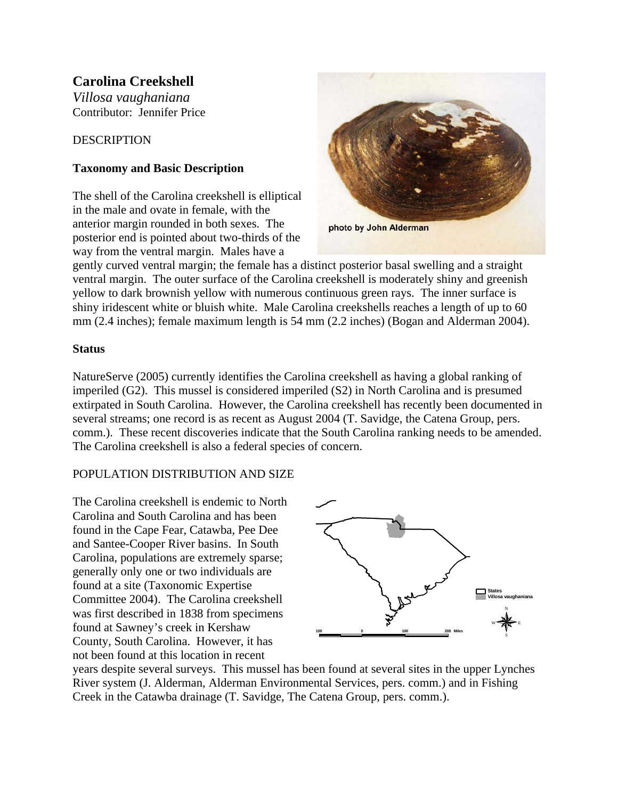# **Carolina Creekshell**

*Villosa vaughaniana* Contributor: Jennifer Price

# **DESCRIPTION**

# **Taxonomy and Basic Description**

The shell of the Carolina creekshell is elliptical in the male and ovate in female, with the anterior margin rounded in both sexes. The posterior end is pointed about two-thirds of the way from the ventral margin. Males have a



gently curved ventral margin; the female has a distinct posterior basal swelling and a straight ventral margin. The outer surface of the Carolina creekshell is moderately shiny and greenish yellow to dark brownish yellow with numerous continuous green rays. The inner surface is shiny iridescent white or bluish white. Male Carolina creekshells reaches a length of up to 60 mm (2.4 inches); female maximum length is 54 mm (2.2 inches) (Bogan and Alderman 2004).

# **Status**

NatureServe (2005) currently identifies the Carolina creekshell as having a global ranking of imperiled (G2). This mussel is considered imperiled (S2) in North Carolina and is presumed extirpated in South Carolina. However, the Carolina creekshell has recently been documented in several streams; one record is as recent as August 2004 (T. Savidge, the Catena Group, pers. comm.). These recent discoveries indicate that the South Carolina ranking needs to be amended. The Carolina creekshell is also a federal species of concern.

# POPULATION DISTRIBUTION AND SIZE

The Carolina creekshell is endemic to North Carolina and South Carolina and has been found in the Cape Fear, Catawba, Pee Dee and Santee-Cooper River basins. In South Carolina, populations are extremely sparse; generally only one or two individuals are found at a site (Taxonomic Expertise Committee 2004). The Carolina creekshell was first described in 1838 from specimens found at Sawney's creek in Kershaw County, South Carolina. However, it has not been found at this location in recent



years despite several surveys. This mussel has been found at several sites in the upper Lynches River system (J. Alderman, Alderman Environmental Services, pers. comm.) and in Fishing Creek in the Catawba drainage (T. Savidge, The Catena Group, pers. comm.).